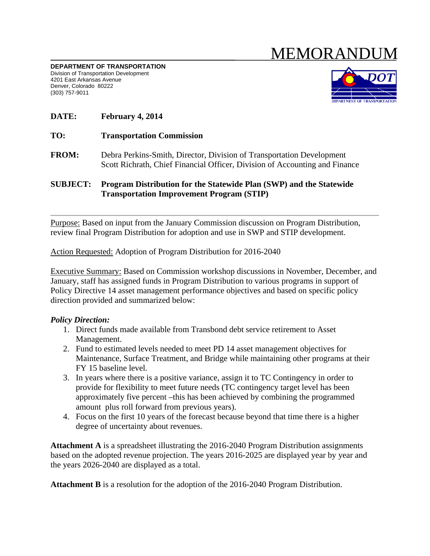# MEMORANDUM

**DEPARTMENT OF TRANSPORTATION** Division of Transportation Development 4201 East Arkansas Avenue Denver, Colorado 80222 (303) 757-9011



# **DATE: February 4, 2014**

- **TO: Transportation Commission**
- **FROM:** Debra Perkins-Smith, Director, Division of Transportation Development Scott Richrath, Chief Financial Officer, Division of Accounting and Finance

#### **SUBJECT: Program Distribution for the Statewide Plan (SWP) and the Statewide Transportation Improvement Program (STIP)**

Purpose: Based on input from the January Commission discussion on Program Distribution, review final Program Distribution for adoption and use in SWP and STIP development.

Action Requested: Adoption of Program Distribution for 2016-2040

Executive Summary: Based on Commission workshop discussions in November, December, and January, staff has assigned funds in Program Distribution to various programs in support of Policy Directive 14 asset management performance objectives and based on specific policy direction provided and summarized below:

## *Policy Direction:*

- 1. Direct funds made available from Transbond debt service retirement to Asset Management.
- 2. Fund to estimated levels needed to meet PD 14 asset management objectives for Maintenance, Surface Treatment, and Bridge while maintaining other programs at their FY 15 baseline level.
- 3. In years where there is a positive variance, assign it to TC Contingency in order to provide for flexibility to meet future needs (TC contingency target level has been approximately five percent –this has been achieved by combining the programmed amount plus roll forward from previous years).
- 4. Focus on the first 10 years of the forecast because beyond that time there is a higher degree of uncertainty about revenues.

**Attachment A** is a spreadsheet illustrating the 2016-2040 Program Distribution assignments based on the adopted revenue projection. The years 2016-2025 are displayed year by year and the years 2026-2040 are displayed as a total.

**Attachment B** is a resolution for the adoption of the 2016-2040 Program Distribution.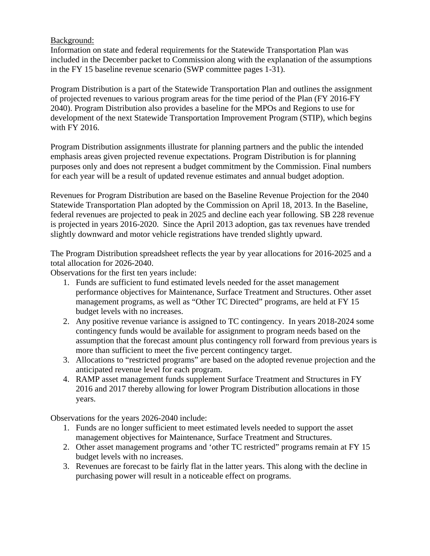## Background:

Information on state and federal requirements for the Statewide Transportation Plan was included in the December packet to Commission along with the explanation of the assumptions in the FY 15 baseline revenue scenario (SWP committee pages 1-31).

Program Distribution is a part of the Statewide Transportation Plan and outlines the assignment of projected revenues to various program areas for the time period of the Plan (FY 2016-FY 2040). Program Distribution also provides a baseline for the MPOs and Regions to use for development of the next Statewide Transportation Improvement Program (STIP), which begins with FY 2016.

Program Distribution assignments illustrate for planning partners and the public the intended emphasis areas given projected revenue expectations. Program Distribution is for planning purposes only and does not represent a budget commitment by the Commission. Final numbers for each year will be a result of updated revenue estimates and annual budget adoption.

Revenues for Program Distribution are based on the Baseline Revenue Projection for the 2040 Statewide Transportation Plan adopted by the Commission on April 18, 2013. In the Baseline, federal revenues are projected to peak in 2025 and decline each year following. SB 228 revenue is projected in years 2016-2020. Since the April 2013 adoption, gas tax revenues have trended slightly downward and motor vehicle registrations have trended slightly upward.

The Program Distribution spreadsheet reflects the year by year allocations for 2016-2025 and a total allocation for 2026-2040.

Observations for the first ten years include:

- 1. Funds are sufficient to fund estimated levels needed for the asset management performance objectives for Maintenance, Surface Treatment and Structures. Other asset management programs, as well as "Other TC Directed" programs, are held at FY 15 budget levels with no increases.
- 2. Any positive revenue variance is assigned to TC contingency. In years 2018-2024 some contingency funds would be available for assignment to program needs based on the assumption that the forecast amount plus contingency roll forward from previous years is more than sufficient to meet the five percent contingency target.
- 3. Allocations to "restricted programs" are based on the adopted revenue projection and the anticipated revenue level for each program.
- 4. RAMP asset management funds supplement Surface Treatment and Structures in FY 2016 and 2017 thereby allowing for lower Program Distribution allocations in those years.

Observations for the years 2026-2040 include:

- 1. Funds are no longer sufficient to meet estimated levels needed to support the asset management objectives for Maintenance, Surface Treatment and Structures.
- 2. Other asset management programs and 'other TC restricted" programs remain at FY 15 budget levels with no increases.
- 3. Revenues are forecast to be fairly flat in the latter years. This along with the decline in purchasing power will result in a noticeable effect on programs.